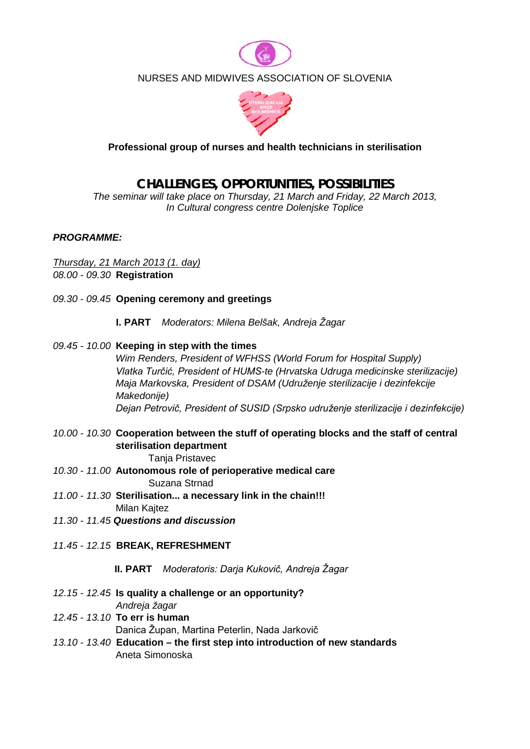

## NURSES AND MIDWIVES ASSOCIATION OF SLOVENIA



### **Professional group of nurses and health technicians in sterilisation**

# **CHALLENGES, OPPORTUNITIES, POSSIBILITIES**

*The seminar will take place on Thursday, 21 March and Friday, 22 March 2013, In Cultural congress centre Dolenjske Toplice* 

#### *PROGRAMME:*

*Thursday, 21 March 2013 (1. day) 08.00 - 09.30* **Registration**

- *09.30 - 09.45* **Opening ceremony and greetings**
	- **I. PART** *Moderators: Milena Belšak, Andreja Žagar*
- *09.45 - 10.00* **Keeping in step with the times**

 *Wim Renders, President of WFHSS (World Forum for Hospital Supply) Vlatka Turčić, President of HUMS-te (Hrvatska Udruga medicinske sterilizacije) Maja Markovska, President of DSAM (Udruženje sterilizacije i dezinfekcije Makedonije) Dejan Petrovič, President of SUSID (Srpsko udruženje sterilizacije i dezinfekcije)*

*10.00 - 10.30* **Cooperation between the stuff of operating blocks and the staff of central sterilisation department**

**Tanja Pristavec** 

- *10.30 - 11.00* **Autonomous role of perioperative medical care** Suzana Strnad
- *11.00 - 11.30* **Sterilisation... a necessary link in the chain!!!**Milan Kajtez
- *11.30 - 11.45 Questions and discussion*
- *11.45 - 12.15* **BREAK, REFRESHMENT**

 **II. PART** *Moderatoris: Darja Kukovič, Andreja Žagar*

- *12.15 - 12.45* **Is quality a challenge or an opportunity?**  *Andreja žagar*
- *12.45 - 13.10* **To err is human**  Danica Župan, Martina Peterlin, Nada Jarkovič
- *13.10 - 13.40* **Education – the first step into introduction of new standards** Aneta Simonoska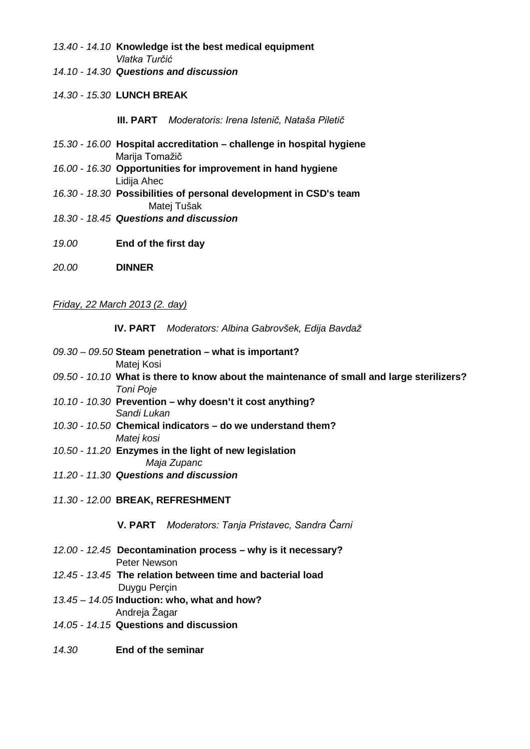- *13.40 - 14.10* **Knowledge ist the best medical equipment**   *Vlatka Turčić*
- *14.10 - 14.30 Questions and discussion*
- *14.30 - 15.30* **LUNCH BREAK**

 **III. PART** *Moderatoris: Irena Istenič, Nataša Piletič*

- *15.30 - 16.00* **Hospital accreditation – challenge in hospital hygiene**  Marija Tomažič
- *16.00 - 16.30* **Opportunities for improvement in hand hygiene**  Lidija Ahec
- *16.30 - 18.30* **Possibilities of personal development in CSD's team** Matej Tušak
- *18.30 - 18.45 Questions and discussion*
- *19.00* **End of the first day**
- *20.00* **DINNER**

#### *Friday, 22 March 2013 (2. day)*

 **IV. PART** *Moderators: Albina Gabrovšek, Edija Bavdaž*

- *09.30 – 09.50* **Steam penetration – what is important?** Matej Kosi *09.50 - 10.10* **What is there to know about the maintenance of small and large sterilizers?**   *Toni Poje*
- *10.10 - 10.30* **Prevention – why doesn't it cost anything?**  *Sandi Lukan*
- *10.30 - 10.50* **Chemical indicators – do we understand them?**  *Matej kosi*
- *10.50 - 11.20* **Enzymes in the light of new legislation**   *Maja Zupanc*
- *11.20 - 11.30 Questions and discussion*
- *11.30 - 12.00* **BREAK, REFRESHMENT**

 **V. PART** *Moderators: Tanja Pristavec, Sandra Čarni*

- *12.00 - 12.45* **Decontamination process – why is it necessary?**  Peter Newson
- *12.45 - 13.45* **The relation between time and bacterial load** Duygu Perçin
- *13.45 – 14.05* **Induction: who, what and how?**  Andreja Žagar
- *14.05 - 14.15* **Questions and discussion**
- *14.30* **End of the seminar**